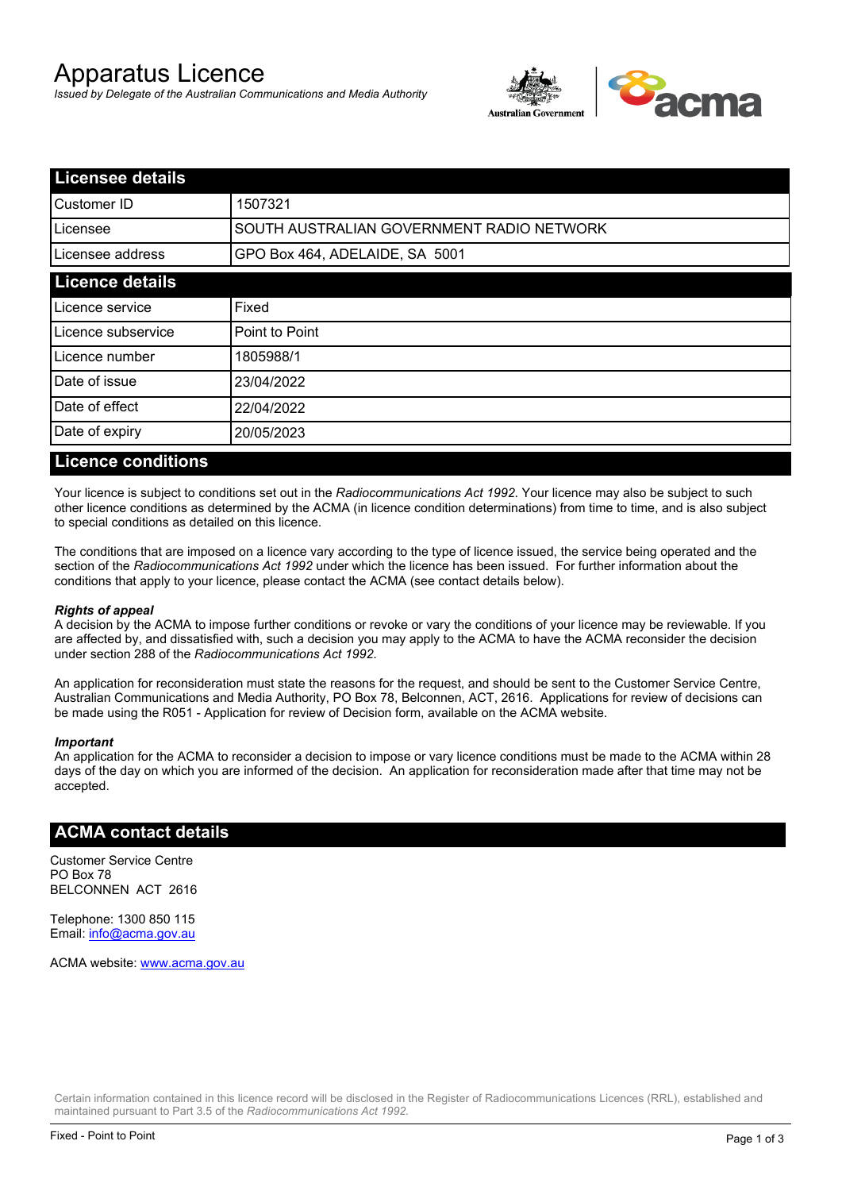# Apparatus Licence

*Issued by Delegate of the Australian Communications and Media Authority*



| <b>Licensee details</b> |                                           |  |
|-------------------------|-------------------------------------------|--|
| Customer ID             | 1507321                                   |  |
| ILicensee               | SOUTH AUSTRALIAN GOVERNMENT RADIO NETWORK |  |
| Licensee address        | GPO Box 464, ADELAIDE, SA 5001            |  |
| <b>Licence details</b>  |                                           |  |
| Licence service         | Fixed                                     |  |
| Licence subservice      | Point to Point                            |  |
| Licence number          | 1805988/1                                 |  |
| Date of issue           | 23/04/2022                                |  |
| Date of effect          | 22/04/2022                                |  |
| Date of expiry          | 20/05/2023                                |  |
|                         |                                           |  |

### **Licence conditions**

Your licence is subject to conditions set out in the *Radiocommunications Act 1992*. Your licence may also be subject to such other licence conditions as determined by the ACMA (in licence condition determinations) from time to time, and is also subject to special conditions as detailed on this licence.

The conditions that are imposed on a licence vary according to the type of licence issued, the service being operated and the section of the *Radiocommunications Act 1992* under which the licence has been issued. For further information about the conditions that apply to your licence, please contact the ACMA (see contact details below).

#### *Rights of appeal*

A decision by the ACMA to impose further conditions or revoke or vary the conditions of your licence may be reviewable. If you are affected by, and dissatisfied with, such a decision you may apply to the ACMA to have the ACMA reconsider the decision under section 288 of the *Radiocommunications Act 1992*.

An application for reconsideration must state the reasons for the request, and should be sent to the Customer Service Centre, Australian Communications and Media Authority, PO Box 78, Belconnen, ACT, 2616. Applications for review of decisions can be made using the R051 - Application for review of Decision form, available on the ACMA website.

#### *Important*

An application for the ACMA to reconsider a decision to impose or vary licence conditions must be made to the ACMA within 28 days of the day on which you are informed of the decision. An application for reconsideration made after that time may not be accepted.

#### **ACMA contact details**

Customer Service Centre PO Box 78 BELCONNEN ACT 2616

Telephone: 1300 850 115 Email: info@acma.gov.au

ACMA website: www.acma.gov.au

Certain information contained in this licence record will be disclosed in the Register of Radiocommunications Licences (RRL), established and maintained pursuant to Part 3.5 of the *Radiocommunications Act 1992.*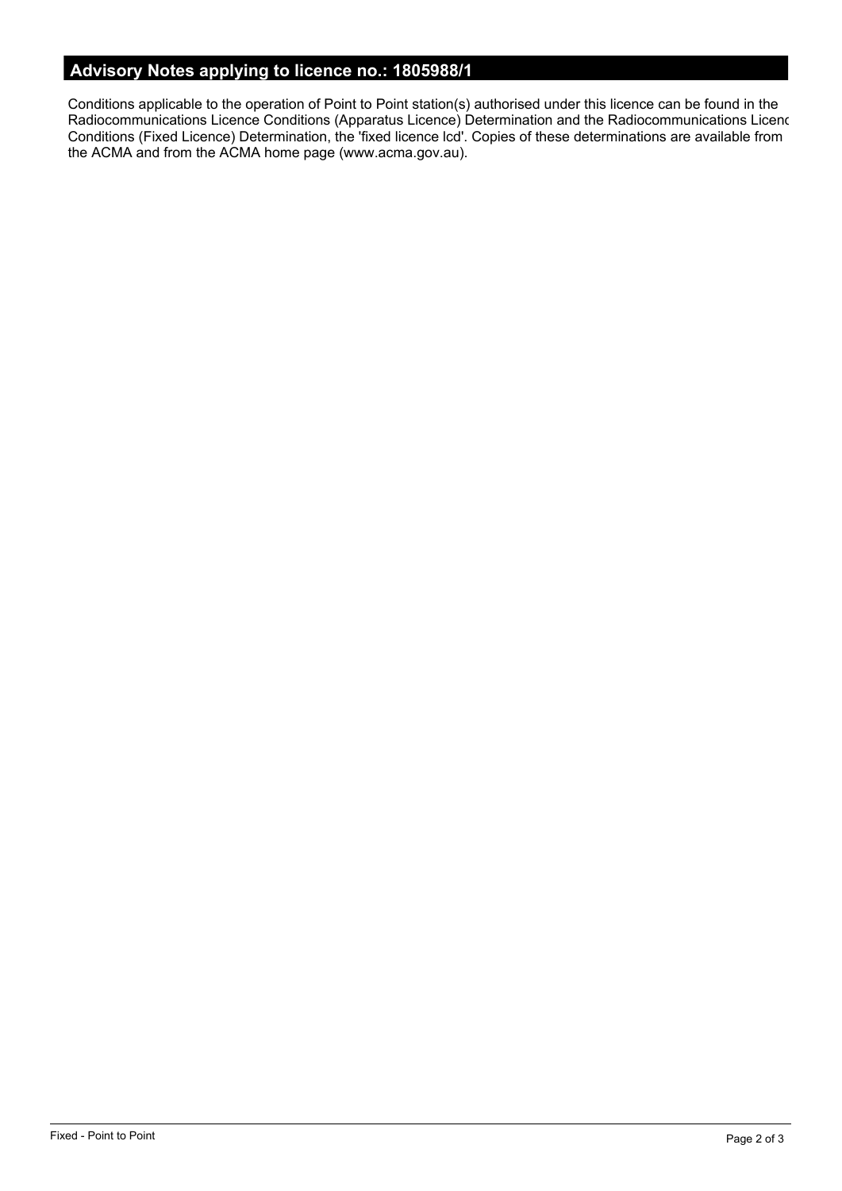# **Advisory Notes applying to licence no.: 1805988/1**

Conditions applicable to the operation of Point to Point station(s) authorised under this licence can be found in the Radiocommunications Licence Conditions (Apparatus Licence) Determination and the Radiocommunications Licence Conditions (Fixed Licence) Determination, the 'fixed licence lcd'. Copies of these determinations are available from the ACMA and from the ACMA home page (www.acma.gov.au).